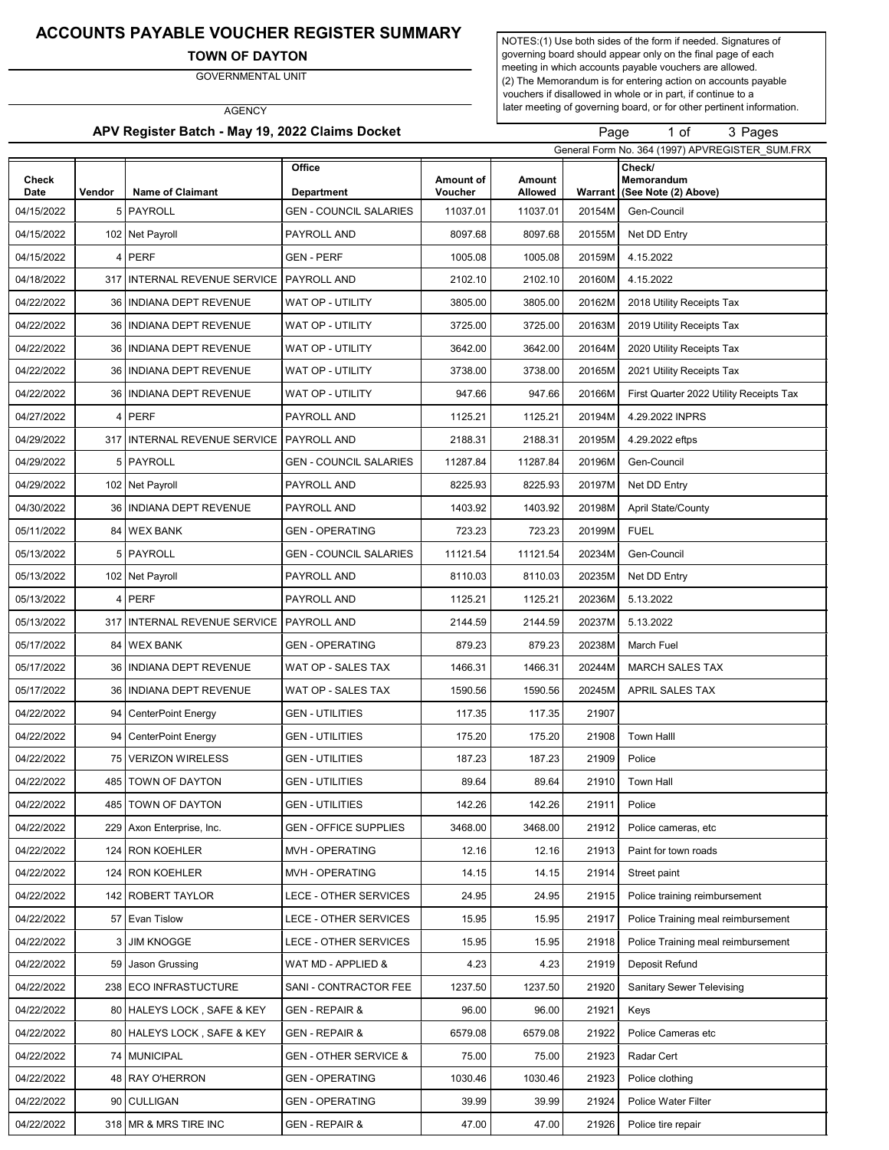### ACCOUNTS PAYABLE VOUCHER REGISTER SUMMARY

TOWN OF DAYTON

GOVERNMENTAL UNIT

**AGENCY** 

APV Register Batch - May 19, 2022 Claims Docket

NOTES:(1) Use both sides of the form if needed. Signatures of governing board should appear only on the final page of each meeting in which accounts payable vouchers are allowed. (2) The Memorandum is for entering action on accounts payable vouchers if disallowed in whole or in part, if continue to a later meeting of governing board, or for other pertinent information.

Page 1 of

of 3 Pages

|               |        |                                        |                               |                      | General Form No. 364 (1997) APVREGISTER_SUM.FRX |         |                                              |
|---------------|--------|----------------------------------------|-------------------------------|----------------------|-------------------------------------------------|---------|----------------------------------------------|
| Check<br>Date | Vendor | <b>Name of Claimant</b>                | Office<br><b>Department</b>   | Amount of<br>Voucher | Amount<br>Allowed                               | Warrant | Check/<br>Memorandum<br>(See Note (2) Above) |
| 04/15/2022    | 5      | PAYROLL                                | <b>GEN - COUNCIL SALARIES</b> | 11037.01             | 11037.01                                        | 20154M  | Gen-Council                                  |
| 04/15/2022    |        | 102 Net Payroll                        | PAYROLL AND                   | 8097.68              | 8097.68                                         | 20155M  | Net DD Entry                                 |
| 04/15/2022    | 4      | <b>PERF</b>                            | <b>GEN - PERF</b>             | 1005.08              | 1005.08                                         | 20159M  | 4.15.2022                                    |
| 04/18/2022    | 317    | INTERNAL REVENUE SERVICE   PAYROLL AND |                               | 2102.10              | 2102.10                                         | 20160M  | 4.15.2022                                    |
| 04/22/2022    | 36     | <b>INDIANA DEPT REVENUE</b>            | WAT OP - UTILITY              | 3805.00              | 3805.00                                         | 20162M  | 2018 Utility Receipts Tax                    |
| 04/22/2022    | 36     | <b>INDIANA DEPT REVENUE</b>            | WAT OP - UTILITY              | 3725.00              | 3725.00                                         | 20163M  | 2019 Utility Receipts Tax                    |
| 04/22/2022    | 36     | <b>INDIANA DEPT REVENUE</b>            | WAT OP - UTILITY              | 3642.00              | 3642.00                                         | 20164M  | 2020 Utility Receipts Tax                    |
| 04/22/2022    | 36     | <b>INDIANA DEPT REVENUE</b>            | WAT OP - UTILITY              | 3738.00              | 3738.00                                         | 20165M  | 2021 Utility Receipts Tax                    |
| 04/22/2022    | 36     | <b>INDIANA DEPT REVENUE</b>            | WAT OP - UTILITY              | 947.66               | 947.66                                          | 20166M  | First Quarter 2022 Utility Receipts Tax      |
| 04/27/2022    | 4      | <b>PERF</b>                            | PAYROLL AND                   | 1125.21              | 1125.21                                         | 20194M  | 4.29.2022 INPRS                              |
| 04/29/2022    | 317    | INTERNAL REVENUE SERVICE               | PAYROLL AND                   | 2188.31              | 2188.31                                         | 20195M  | 4.29.2022 eftps                              |
| 04/29/2022    | 5      | PAYROLL                                | <b>GEN - COUNCIL SALARIES</b> | 11287.84             | 11287.84                                        | 20196M  | Gen-Council                                  |
| 04/29/2022    |        | 102 Net Payroll                        | PAYROLL AND                   | 8225.93              | 8225.93                                         | 20197M  | Net DD Entry                                 |
| 04/30/2022    | 36     | <b>INDIANA DEPT REVENUE</b>            | PAYROLL AND                   | 1403.92              | 1403.92                                         | 20198M  | <b>April State/County</b>                    |
| 05/11/2022    |        | 84 WEX BANK                            | <b>GEN - OPERATING</b>        | 723.23               | 723.23                                          | 20199M  | <b>FUEL</b>                                  |
| 05/13/2022    | 5      | PAYROLL                                | <b>GEN - COUNCIL SALARIES</b> | 11121.54             | 11121.54                                        | 20234M  | Gen-Council                                  |
| 05/13/2022    |        | 102 Net Payroll                        | PAYROLL AND                   | 8110.03              | 8110.03                                         | 20235M  | Net DD Entry                                 |
| 05/13/2022    | 4      | <b>PERF</b>                            | PAYROLL AND                   | 1125.21              | 1125.21                                         | 20236M  | 5.13.2022                                    |
| 05/13/2022    | 317    | <b>INTERNAL REVENUE SERVICE</b>        | PAYROLL AND                   | 2144.59              | 2144.59                                         | 20237M  | 5.13.2022                                    |
| 05/17/2022    | 84     | <b>WEX BANK</b>                        | GEN - OPERATING               | 879.23               | 879.23                                          | 20238M  | March Fuel                                   |
| 05/17/2022    | 36     | INDIANA DEPT REVENUE                   | WAT OP - SALES TAX            | 1466.31              | 1466.31                                         | 20244M  | <b>MARCH SALES TAX</b>                       |
| 05/17/2022    | 36     | <b>INDIANA DEPT REVENUE</b>            | WAT OP - SALES TAX            | 1590.56              | 1590.56                                         | 20245M  | APRIL SALES TAX                              |
| 04/22/2022    | 94     | <b>CenterPoint Energy</b>              | GEN - UTILITIES               | 117.35               | 117.35                                          | 21907   |                                              |
| 04/22/2022    | 94     | CenterPoint Energy                     | <b>GEN - UTILITIES</b>        | 175.20               | 175.20                                          | 21908   | <b>Town Halll</b>                            |
| 04/22/2022    | 75     | <b>VERIZON WIRELESS</b>                | GEN - UTILITIES               | 187.23               | 187.23                                          | 21909   | Police                                       |
| 04/22/2022    | 485    | <b>TOWN OF DAYTON</b>                  | GEN - UTILITIES               | 89.64                | 89.64                                           | 21910   | <b>Town Hall</b>                             |
| 04/22/2022    |        | 485 TOWN OF DAYTON                     | GEN - UTILITIES               | 142.26               | 142.26                                          | 21911   | Police                                       |
| 04/22/2022    |        | 229 Axon Enterprise, Inc.              | <b>GEN - OFFICE SUPPLIES</b>  | 3468.00              | 3468.00                                         | 21912   | Police cameras, etc                          |
| 04/22/2022    | 124    | <b>RON KOEHLER</b>                     | MVH - OPERATING               | 12.16                | 12.16                                           | 21913   | Paint for town roads                         |
| 04/22/2022    |        | 124 RON KOEHLER                        | MVH - OPERATING               | 14.15                | 14.15                                           | 21914   | Street paint                                 |
| 04/22/2022    |        | 142 ROBERT TAYLOR                      | <b>LECE - OTHER SERVICES</b>  | 24.95                | 24.95                                           | 21915   | Police training reimbursement                |
| 04/22/2022    | 57     | <b>Evan Tislow</b>                     | LECE - OTHER SERVICES         | 15.95                | 15.95                                           | 21917   | Police Training meal reimbursement           |
| 04/22/2022    | 3      | JIM KNOGGE                             | LECE - OTHER SERVICES         | 15.95                | 15.95                                           | 21918   | Police Training meal reimbursement           |
| 04/22/2022    | 59     | Jason Grussing                         | WAT MD - APPLIED &            | 4.23                 | 4.23                                            | 21919   | Deposit Refund                               |
| 04/22/2022    | 238    | ECO INFRASTUCTURE                      | SANI - CONTRACTOR FEE         | 1237.50              | 1237.50                                         | 21920   | <b>Sanitary Sewer Televising</b>             |
| 04/22/2022    | 80     | <b>HALEYS LOCK, SAFE &amp; KEY</b>     | GEN - REPAIR &                | 96.00                | 96.00                                           | 21921   | Keys                                         |
| 04/22/2022    | 80     | <b>HALEYS LOCK, SAFE &amp; KEY</b>     | GEN - REPAIR &                | 6579.08              | 6579.08                                         | 21922   | Police Cameras etc                           |
| 04/22/2022    | 74     | <b>MUNICIPAL</b>                       | GEN - OTHER SERVICE &         | 75.00                | 75.00                                           | 21923   | Radar Cert                                   |
| 04/22/2022    | 48     | RAY O'HERRON                           | <b>GEN - OPERATING</b>        | 1030.46              | 1030.46                                         | 21923   | Police clothing                              |
| 04/22/2022    | 90     | <b>CULLIGAN</b>                        | <b>GEN - OPERATING</b>        | 39.99                | 39.99                                           | 21924   | Police Water Filter                          |
| 04/22/2022    |        | 318 MR & MRS TIRE INC                  | GEN - REPAIR &                | 47.00                | 47.00                                           | 21926   | Police tire repair                           |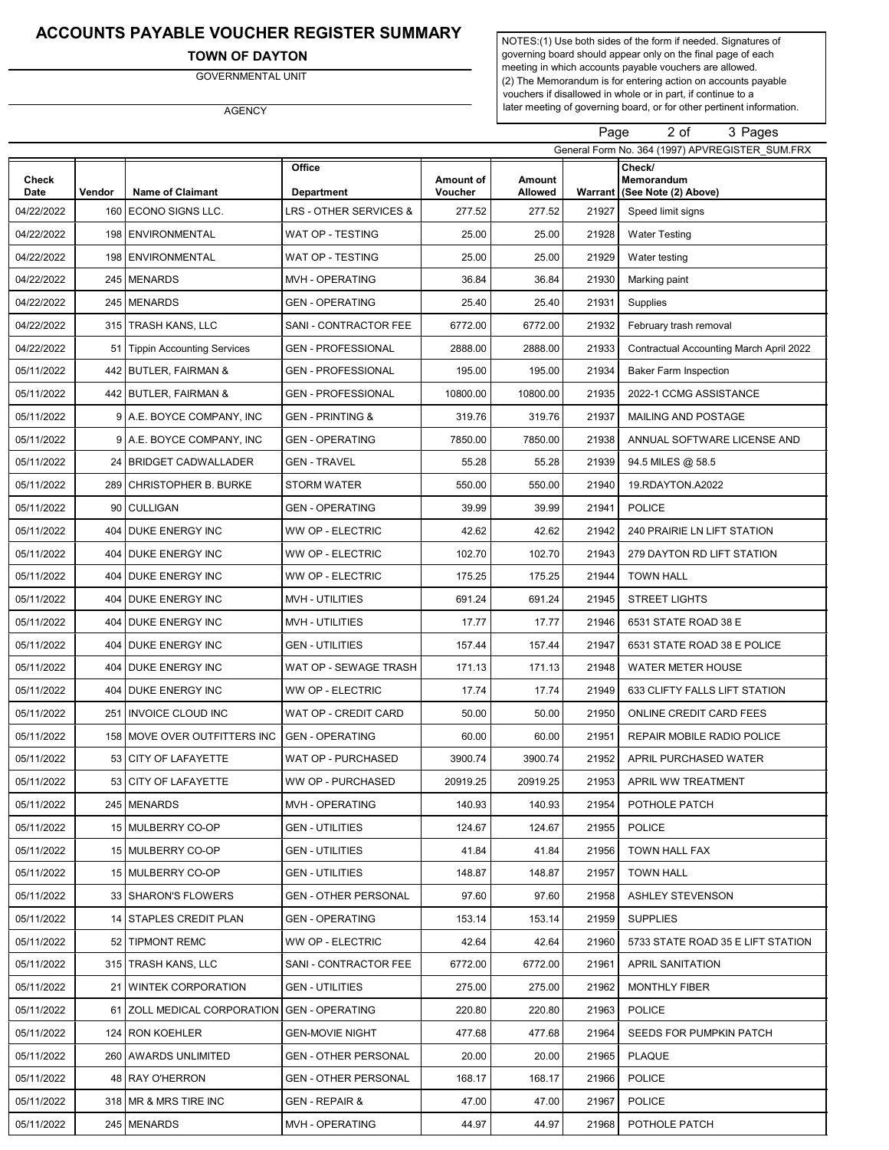# ACCOUNTS PAYABLE VOUCHER REGISTER SUMMARY

### TOWN OF DAYTON

GOVERNMENTAL UNIT

AGENCY

NOTES:(1) Use both sides of the form if needed. Signatures of governing board should appear only on the final page of each meeting in which accounts payable vouchers are allowed. (2) The Memorandum is for entering action on accounts payable vouchers if disallowed in whole or in part, if continue to a later meeting of governing board, or for other pertinent information.

Page 2 of

of 3 Pages

|               | General Form No. 364 (1997) APVREGISTER SUM.FRX |                              |                                    |                      |                   |         |                                              |
|---------------|-------------------------------------------------|------------------------------|------------------------------------|----------------------|-------------------|---------|----------------------------------------------|
| Check<br>Date | Vendor                                          | <b>Name of Claimant</b>      | <b>Office</b><br><b>Department</b> | Amount of<br>Voucher | Amount<br>Allowed | Warrant | Check/<br>Memorandum<br>(See Note (2) Above) |
| 04/22/2022    | 160                                             | ECONO SIGNS LLC.             | LRS - OTHER SERVICES &             | 277.52               | 277.52            | 21927   | Speed limit signs                            |
| 04/22/2022    | 198                                             | <b>ENVIRONMENTAL</b>         | WAT OP - TESTING                   | 25.00                | 25.00             | 21928   | <b>Water Testing</b>                         |
| 04/22/2022    | 198                                             | <b>ENVIRONMENTAL</b>         | WAT OP - TESTING                   | 25.00                | 25.00             | 21929   | Water testing                                |
| 04/22/2022    |                                                 | 245 MENARDS                  | MVH - OPERATING                    | 36.84                | 36.84             | 21930   | Marking paint                                |
| 04/22/2022    |                                                 | 245 MENARDS                  | <b>GEN - OPERATING</b>             | 25.40                | 25.40             | 21931   | Supplies                                     |
| 04/22/2022    |                                                 | 315   TRASH KANS, LLC        | SANI - CONTRACTOR FEE              | 6772.00              | 6772.00           | 21932   | February trash removal                       |
| 04/22/2022    | 51                                              | Tippin Accounting Services   | GEN - PROFESSIONAL                 | 2888.00              | 2888.00           | 21933   | Contractual Accounting March April 2022      |
| 05/11/2022    | 442                                             | <b>BUTLER, FAIRMAN &amp;</b> | GEN - PROFESSIONAL                 | 195.00               | 195.00            | 21934   | <b>Baker Farm Inspection</b>                 |
| 05/11/2022    |                                                 | 442 BUTLER, FAIRMAN &        | <b>GEN - PROFESSIONAL</b>          | 10800.00             | 10800.00          | 21935   | 2022-1 CCMG ASSISTANCE                       |
| 05/11/2022    |                                                 | 9 A.E. BOYCE COMPANY, INC    | GEN - PRINTING &                   | 319.76               | 319.76            | 21937   | MAILING AND POSTAGE                          |
| 05/11/2022    | 9                                               | A.E. BOYCE COMPANY, INC      | GEN - OPERATING                    | 7850.00              | 7850.00           | 21938   | ANNUAL SOFTWARE LICENSE AND                  |
| 05/11/2022    |                                                 | 24 BRIDGET CADWALLADER       | GEN - TRAVEL                       | 55.28                | 55.28             | 21939   | 94.5 MILES @ 58.5                            |
| 05/11/2022    | 289                                             | I CHRISTOPHER B. BURKE       | STORM WATER                        | 550.00               | 550.00            | 21940   | 19.RDAYTON.A2022                             |
| 05/11/2022    | 90                                              | <b>CULLIGAN</b>              | <b>GEN - OPERATING</b>             | 39.99                | 39.99             | 21941   | <b>POLICE</b>                                |
| 05/11/2022    | 404                                             | DUKE ENERGY INC              | WW OP - ELECTRIC                   | 42.62                | 42.62             | 21942   | 240 PRAIRIE LN LIFT STATION                  |
| 05/11/2022    | 404                                             | <b>DUKE ENERGY INC</b>       | WW OP - ELECTRIC                   | 102.70               | 102.70            | 21943   | 279 DAYTON RD LIFT STATION                   |
| 05/11/2022    | 404                                             | <b>DUKE ENERGY INC</b>       | WW OP - ELECTRIC                   | 175.25               | 175.25            | 21944   | <b>TOWN HALL</b>                             |
| 05/11/2022    | 404                                             | <b>DUKE ENERGY INC</b>       | MVH - UTILITIES                    | 691.24               | 691.24            | 21945   | <b>STREET LIGHTS</b>                         |
| 05/11/2022    |                                                 | 404 DUKE ENERGY INC          | MVH - UTILITIES                    | 17.77                | 17.77             | 21946   | 6531 STATE ROAD 38 E                         |
| 05/11/2022    | 404                                             | <b>DUKE ENERGY INC</b>       | <b>GEN - UTILITIES</b>             | 157.44               | 157.44            | 21947   | 6531 STATE ROAD 38 E POLICE                  |
| 05/11/2022    | 404                                             | <b>DUKE ENERGY INC</b>       | WAT OP - SEWAGE TRASH              | 171.13               | 171.13            | 21948   | <b>WATER METER HOUSE</b>                     |
| 05/11/2022    |                                                 | 404 DUKE ENERGY INC          | WW OP - ELECTRIC                   | 17.74                | 17.74             | 21949   | 633 CLIFTY FALLS LIFT STATION                |
| 05/11/2022    | 251                                             | <b>INVOICE CLOUD INC</b>     | WAT OP - CREDIT CARD               | 50.00                | 50.00             | 21950   | ONLINE CREDIT CARD FEES                      |
| 05/11/2022    | 158                                             | MOVE OVER OUTFITTERS INC     | <b>GEN - OPERATING</b>             | 60.00                | 60.00             | 21951   | REPAIR MOBILE RADIO POLICE                   |
| 05/11/2022    | 53                                              | <b>CITY OF LAFAYETTE</b>     | WAT OP - PURCHASED                 | 3900.74              | 3900.74           | 21952   | APRIL PURCHASED WATER                        |
| 05/11/2022    |                                                 | 53 CITY OF LAFAYETTE         | WW OP - PURCHASED                  | 20919.25             | 20919.25          | 21953   | APRIL WW TREATMENT                           |
| 05/11/2022    |                                                 | 245 MENARDS                  | MVH - OPERATING                    | 140.93               | 140.93            | 21954   | POTHOLE PATCH                                |
| 05/11/2022    |                                                 | 15 MULBERRY CO-OP            | GEN - UTILITIES                    | 124.67               | 124.67            | 21955   | <b>POLICE</b>                                |
| 05/11/2022    |                                                 | 15 MULBERRY CO-OP            | GEN - UTILITIES                    | 41.84                | 41.84             | 21956   | TOWN HALL FAX                                |
| 05/11/2022    |                                                 | 15 MULBERRY CO-OP            | GEN - UTILITIES                    | 148.87               | 148.87            | 21957   | <b>TOWN HALL</b>                             |
| 05/11/2022    |                                                 | 33   SHARON'S FLOWERS        | GEN - OTHER PERSONAL               | 97.60                | 97.60             | 21958   | <b>ASHLEY STEVENSON</b>                      |
| 05/11/2022    |                                                 | 14 STAPLES CREDIT PLAN       | GEN - OPERATING                    | 153.14               | 153.14            | 21959   | <b>SUPPLIES</b>                              |
| 05/11/2022    |                                                 | 52   TIPMONT REMC            | WW OP - ELECTRIC                   | 42.64                | 42.64             | 21960   | 5733 STATE ROAD 35 E LIFT STATION            |
| 05/11/2022    |                                                 | 315   TRASH KANS, LLC        | SANI - CONTRACTOR FEE              | 6772.00              | 6772.00           | 21961   | <b>APRIL SANITATION</b>                      |
| 05/11/2022    |                                                 | 21 WINTEK CORPORATION        | <b>GEN - UTILITIES</b>             | 275.00               | 275.00            | 21962   | <b>MONTHLY FIBER</b>                         |
| 05/11/2022    |                                                 | 61 ZOLL MEDICAL CORPORATION  | <b>GEN - OPERATING</b>             | 220.80               | 220.80            | 21963   | <b>POLICE</b>                                |
| 05/11/2022    |                                                 | 124   RON KOEHLER            | GEN-MOVIE NIGHT                    | 477.68               | 477.68            | 21964   | SEEDS FOR PUMPKIN PATCH                      |
| 05/11/2022    |                                                 | 260 AWARDS UNLIMITED         | GEN - OTHER PERSONAL               | 20.00                | 20.00             | 21965   | <b>PLAQUE</b>                                |
| 05/11/2022    |                                                 | 48 RAY O'HERRON              | GEN - OTHER PERSONAL               | 168.17               | 168.17            | 21966   | <b>POLICE</b>                                |
| 05/11/2022    |                                                 | 318 MR & MRS TIRE INC        | GEN - REPAIR &                     | 47.00                | 47.00             | 21967   | <b>POLICE</b>                                |
| 05/11/2022    |                                                 | 245 MENARDS                  | MVH - OPERATING                    | 44.97                | 44.97             | 21968   | POTHOLE PATCH                                |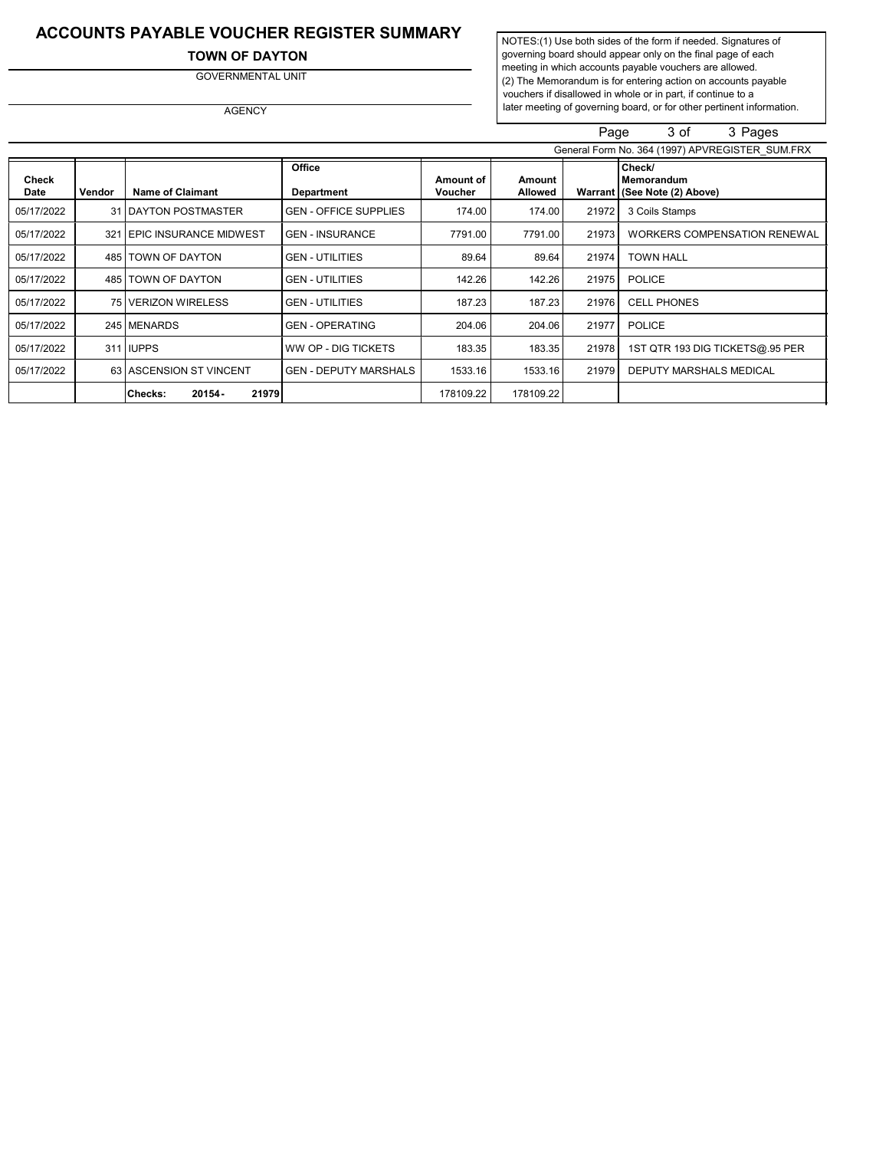# ACCOUNTS PAYABLE VOUCHER REGISTER SUMMARY

TOWN OF DAYTON

GOVERNMENTAL UNIT

AGENCY

NOTES:(1) Use both sides of the form if needed. Signatures of governing board should appear only on the final page of each meeting in which accounts payable vouchers are allowed. (2) The Memorandum is for entering action on accounts payable vouchers if disallowed in whole or in part, if continue to a later meeting of governing board, or for other pertinent information.

|                      |        |                             |                              |                      |                   | Page  | 3 of<br>3 Pages                                        |
|----------------------|--------|-----------------------------|------------------------------|----------------------|-------------------|-------|--------------------------------------------------------|
|                      |        |                             |                              |                      |                   |       | General Form No. 364 (1997) APVREGISTER SUM.FRX        |
| <b>Check</b><br>Date | Vendor | <b>Name of Claimant</b>     | Office<br>Department         | Amount of<br>Voucher | Amount<br>Allowed |       | Check/<br>Memorandum<br>Warrant   (See Note (2) Above) |
| 05/17/2022           |        | 31 DAYTON POSTMASTER        | <b>GEN - OFFICE SUPPLIES</b> | 174.00               | 174.00            | 21972 | 3 Coils Stamps                                         |
| 05/17/2022           |        | 321 EPIC INSURANCE MIDWEST  | <b>GEN - INSURANCE</b>       | 7791.00              | 7791.00           | 21973 | <b>WORKERS COMPENSATION RENEWAL</b>                    |
| 05/17/2022           | 485    | TOWN OF DAYTON              | <b>GEN - UTILITIES</b>       | 89.64                | 89.64             | 21974 | <b>TOWN HALL</b>                                       |
| 05/17/2022           | 485    | TOWN OF DAYTON              | <b>GEN - UTILITIES</b>       | 142.26               | 142.26            | 21975 | <b>POLICE</b>                                          |
| 05/17/2022           |        | 75 VERIZON WIRELESS         | <b>GEN - UTILITIES</b>       | 187.23               | 187.23            | 21976 | <b>CELL PHONES</b>                                     |
| 05/17/2022           |        | 245 MENARDS                 | <b>GEN - OPERATING</b>       | 204.06               | 204.06            | 21977 | <b>POLICE</b>                                          |
| 05/17/2022           |        | 311 IUPPS                   | <b>WW OP - DIG TICKETS</b>   | 183.35               | 183.35            | 21978 | 1ST QTR 193 DIG TICKETS@.95 PER                        |
| 05/17/2022           |        | 63 ASCENSION ST VINCENT     | <b>GEN - DEPUTY MARSHALS</b> | 1533.16              | 1533.16           | 21979 | DEPUTY MARSHALS MEDICAL                                |
|                      |        | 21979<br>20154-<br> Checks: |                              | 178109.22            | 178109.22         |       |                                                        |